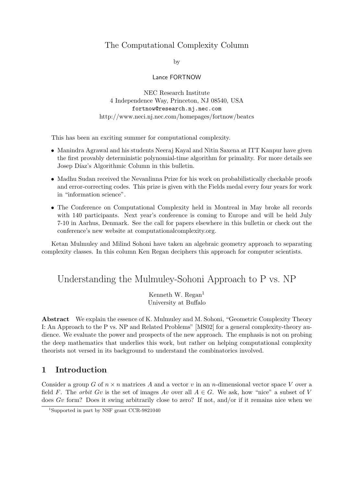# The Computational Complexity Column

by

### Lance FORTNOW

NEC Research Institute 4 Independence Way, Princeton, NJ 08540, USA fortnow@research.nj.nec.com http://www.neci.nj.nec.com/homepages/fortnow/beatcs

This has been an exciting summer for computational complexity.

- Manindra Agrawal and his students Neeraj Kayal and Nitin Saxena at ITT Kanpur have given the first provably deterministic polynomial-time algorithm for primality. For more details see Josep Díaz's Algorithmic Column in this bulletin.
- Madhu Sudan received the Nevanlinna Prize for his work on probabilistically checkable proofs and error-correcting codes. This prize is given with the Fields medal every four years for work in "information science".
- The Conference on Computational Complexity held in Montreal in May broke all records with 140 participants. Next year's conference is coming to Europe and will be held July 7-10 in Aarhus, Denmark. See the call for papers elsewhere in this bulletin or check out the conference's new website at computationalcomplexity.org.

Ketan Mulmuley and Milind Sohoni have taken an algebraic geometry approach to separating complexity classes. In this column Ken Regan deciphers this approach for computer scientists.

# Understanding the Mulmuley-Sohoni Approach to P vs. NP

Kenneth W. Regan $<sup>1</sup>$ </sup> University at Buffalo

Abstract We explain the essence of K. Mulmuley and M. Sohoni, "Geometric Complexity Theory I: An Approach to the P vs. NP and Related Problems" [MS02] for a general complexity-theory audience. We evaluate the power and prospects of the new approach. The emphasis is not on probing the deep mathematics that underlies this work, but rather on helping computational complexity theorists not versed in its background to understand the combinatorics involved.

# 1 Introduction

Consider a group G of  $n \times n$  matrices A and a vector v in an n-dimensional vector space V over a field F. The *orbit Gv* is the set of images Av over all  $A \in G$ . We ask, how "nice" a subset of V does Gv form? Does it swing arbitrarily close to zero? If not, and/or if it remains nice when we

<sup>1</sup>Supported in part by NSF grant CCR-9821040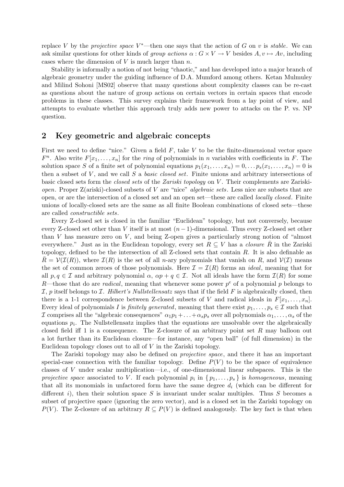replace V by the *projective space* V<sup>\*</sup>—then one says that the action of G on v is *stable*. We can ask similar questions for other kinds of group actions  $\alpha : G \times V \to V$  besides  $A, v \mapsto Av$ , including cases where the dimension of  $V$  is much larger than  $n$ .

Stability is informally a notion of not being "chaotic," and has developed into a major branch of algebraic geometry under the guiding influence of D.A. Mumford among others. Ketan Mulmuley and Milind Sohoni [MS02] observe that many questions about complexity classes can be re-cast as questions about the nature of group actions on certain vectors in certain spaces that encode problems in these classes. This survey explains their framework from a lay point of view, and attempts to evaluate whether this approach truly adds new power to attacks on the P. vs. NP question.

# 2 Key geometric and algebraic concepts

First we need to define "nice." Given a field  $F$ , take  $V$  to be the finite-dimensional vector space  $F<sup>n</sup>$ . Also write  $F[x_1, \ldots, x_n]$  for the *ring* of polynomials in *n* variables with coefficients in *F*. The solution space S of a finite set of polynomial equations  $p_1(x_1, \ldots, x_n) = 0, \ldots, p_s(x_1, \ldots, x_n) = 0$  is then a subset of  $V$ , and we call  $S$  a *basic closed set*. Finite unions and arbitrary intersections of basic closed sets form the *closed sets* of the Zariski topology on V. Their complements are Zariski*open.* Proper  $Z(\text{ariski})$ -closed subsets of V are "nice" *algebraic sets.* Less nice are subsets that are open, or are the intersection of a closed set and an open set—these are called locally closed. Finite unions of locally-closed sets are the same as all finite Boolean combinations of closed sets—these are called constructible sets.

Every Z-closed set is closed in the familiar "Euclidean" topology, but not conversely, because every Z-closed set other than V itself is at most  $(n-1)$ -dimensional. Thus every Z-closed set other than  $V$  has measure zero on  $V$ , and being Z-open gives a particularly strong notion of "almost" everywhere." Just as in the Euclidean topology, every set  $R \subseteq V$  has a *closure* R in the Zariski topology, defined to be the intersection of all Z-closed sets that contain R. It is also definable as  $\bar{R} = \mathcal{V}(\mathcal{I}(R))$ , where  $\mathcal{I}(R)$  is the set of all n-ary polynomials that vanish on R, and  $\mathcal{V}(\mathcal{I})$  means the set of common zeroes of those polynomials. Here  $\mathcal{I} = \mathcal{I}(R)$  forms an *ideal*, meaning that for all  $p, q \in \mathcal{I}$  and arbitrary polynomial  $\alpha$ ,  $\alpha p + q \in \mathcal{I}$ . Not all ideals have the form  $\mathcal{I}(R)$  for some R—those that do are *radical*, meaning that whenever some power  $p^e$  of a polynomial p belongs to  $I$ , p itself belongs to  $I$ . Hilbert's Nullstellensatz says that if the field F is algebraically closed, then there is a 1-1 correspondence between Z-closed subsets of V and radical ideals in  $F[x_1, \ldots, x_n]$ . Every ideal of polynomials I is *finitely generated*, meaning that there exist  $p_1, \ldots, p_s \in \mathcal{I}$  such that I comprises all the "algebraic consequences"  $\alpha_1 p_1 + \ldots + \alpha_s p_s$  over all polynomials  $\alpha_1, \ldots, \alpha_s$  of the equations  $p_i$ . The Nullstellensatz implies that the equations are unsolvable over the algebraically closed field iff 1 is a consequence. The Z-closure of an arbitrary point set R may balloon out a lot further than its Euclidean closure—for instance, any "open ball" (of full dimension) in the Euclidean topology closes out to all of  $V$  in the Zariski topology.

The Zariski topology may also be defined on projective space, and there it has an important special-case connection with the familiar topology. Define  $P(V)$  to be the space of equivalence classes of V under scalar multiplication—i.e., of one-dimensional linear subspaces. This is the projective space associated to V. If each polynomial  $p_i$  in  $\{p_1, \ldots, p_s\}$  is homogeneous, meaning that all its monomials in unfactored form have the same degree  $d_i$  (which can be different for different i), then their solution space S is invariant under scalar multiples. Thus S becomes a subset of projective space (ignoring the zero vector), and is a closed set in the Zariski topology on  $P(V)$ . The Z-closure of an arbitrary  $R \subseteq P(V)$  is defined analogously. The key fact is that when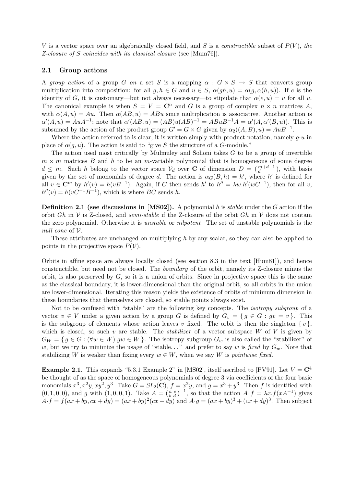V is a vector space over an algebraically closed field, and S is a *constructible* subset of  $P(V)$ , the Z-closure of S coincides with its classical closure (see [Mum76]).

### 2.1 Group actions

A group action of a group G on a set S is a mapping  $\alpha : G \times S \to S$  that converts group multiplication into composition: for all  $q, h \in G$  and  $u \in S$ ,  $\alpha(qh, u) = \alpha(q, \alpha(h, u))$ . If e is the identity of G, it is customary—but not always necessary—to stipulate that  $\alpha(e, u) = u$  for all u. The canonical example is when  $S = V = \mathbb{C}^n$  and G is a group of complex  $n \times n$  matrices A, with  $\alpha(A, u) = Au$ . Then  $\alpha(AB, u) = ABu$  since multiplication is associative. Another action is  $\alpha'(A, u) = AuA^{-1}$ ; note that  $\alpha'(AB, u) = (AB)u(AB)^{-1} = ABuB^{-1}A = \alpha'(A, \alpha'(B, u))$ . This is subsumed by the action of the product group  $G' = G \times G$  given by  $\alpha_2((A, B), u) = AuB^{-1}$ .

Where the action referred to is clear, it is written simply with product notation, namely  $q \cdot u$  in place of  $\alpha(q, u)$ . The action is said to "give S the structure of a G-module."

The action used most critically by Mulmuley and Sohoni takes  $G$  to be a group of invertible  $m \times m$  matrices B and h to be an m-variable polynomial that is homogeneous of some degree  $d \leq m$ . Such h belong to the vector space  $\mathcal{V}_d$  over **C** of dimension  $D = \begin{pmatrix} m+d-1 \\ d \end{pmatrix}$ , with basis given by the set of monomials of degree d. The action is  $\alpha_G(B, h) = h'$ , where h' is defined for all  $v \in \mathbb{C}^m$  by  $h'(v) = h(vB^{-1})$ . Again, if C then sends  $h'$  to  $h'' = \lambda w.h'(wC^{-1})$ , then for all v,  $h''(v) = h(vC^{-1}B^{-1}),$  which is where BC sends h.

**Definition 2.1** (see discussions in [MS02]). A polynomial h is *stable* under the G action if the orbit Gh in  $V$  is Z-closed, and *semi-stable* if the Z-closure of the orbit Gh in  $V$  does not contain the zero polynomial. Otherwise it is unstable or nilpotent. The set of unstable polynomials is the null cone of V.

These attributes are unchanged on multiplying h by any scalar, so they can also be applied to points in the projective space  $P(V)$ .

Orbits in affine space are always locally closed (see section 8.3 in the text [Hum81]), and hence constructible, but need not be closed. The boundary of the orbit, namely its Z-closure minus the orbit, is also preserved by  $G$ , so it is a union of orbits. Since in projective space this is the same as the classical boundary, it is lower-dimensional than the original orbit, so all orbits in the union are lower-dimensional. Iterating this reason yields the existence of orbits of minimum dimension in these boundaries that themselves are closed, so stable points always exist.

Not to be confused with "stable" are the following key concepts. The isotropy subgroup of a vector  $v \in V$  under a given action by a group G is defined by  $G_v = \{ g \in G : gv = v \}.$  This is the subgroup of elements whose action leaves v fixed. The orbit is then the singleton  $\{v\}$ , which is closed, so such  $v$  are stable. The *stabilizer* of a vector subspace  $W$  of  $V$  is given by  $G_W = \{ g \in G : (\forall w \in W) \text{ } g w \in W \}.$  The isotropy subgroup  $G_w$  is also called the "stabilizer" of w, but we try to minimize the usage of "stable..." and prefer to say w is fixed by  $G_w$ . Note that stabilizing W is weaker than fixing every  $w \in W$ , when we say W is *pointwise fixed*.

**Example 2.1.** This expands "5.3.1 Example 2" in [MS02], itself ascribed to [PV91]. Let  $V = \mathbb{C}^4$ be thought of as the space of homogeneous polynomials of degree 3 via coefficients of the four basic monomials  $x^3, x^2y, xy^2, y^3$ . Take  $G = SL_2(\mathbb{C}), f = x^2y$ , and  $g = x^3 + y^3$ . Then f is identified with  $(0, 1, 0, 0)$ , and g with  $(1, 0, 0, 1)$ . Take  $\overline{A} = \begin{pmatrix} a & c \\ b & d \end{pmatrix}^{-1}$ , so that the action  $A \cdot f = \lambda x \cdot f(xA^{-1})$  gives  $A \cdot f = f(ax + by, cx + dy) = (ax + by)^2(cx + dy)$  and  $A \cdot g = (ax + by)^3 + (cx + dy)^3$ . Then subject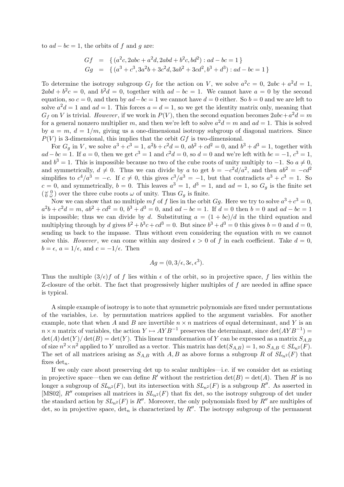to  $ad - bc = 1$ , the orbits of f and g are:

$$
Gf = \{ (a^2c, 2abc + a^2d, 2abd + b^2c, bd^2) : ad - bc = 1 \}
$$
  
\n
$$
Gg = \{ (a^3 + c^3, 3a^2b + 3c^2d, 3ab^2 + 3cd^2, b^3 + d^3) : ad - bc = 1 \}
$$

To determine the isotropy subgroup  $G_f$  for the action on V, we solve  $a^2c = 0$ ,  $2abc + a^2d = 1$ ,  $2abd + b^2c = 0$ , and  $b^2d = 0$ , together with  $ad - bc = 1$ . We cannot have  $a = 0$  by the second equation, so  $c = 0$ , and then by  $ad - bc = 1$  we cannot have  $d = 0$  either. So  $b = 0$  and we are left to solve  $a^2d = 1$  and  $ad = 1$ . This forces  $a = d = 1$ , so we get the identity matrix only, meaning that  $G_f$  on V is trivial. However, if we work in  $P(V)$ , then the second equation becomes  $2abc+a^2d=m$ for a general nonzero multiplier m, and then we're left to solve  $a^2d = m$  and  $ad = 1$ . This is solved by  $a = m, d = 1/m$ , giving us a one-dimensional isotropy subgroup of diagonal matrices. Since  $P(V)$  is 3-dimensional, this implies that the orbit  $Gf$  is two-dimensional.

For  $G_g$  in V, we solve  $a^3 + c^3 = 1$ ,  $a^2b + c^2d = 0$ ,  $ab^2 + cd^2 = 0$ , and  $b^3 + d^3 = 1$ , together with  $ad-bc=1$ . If  $a=0$ , then we get  $c^3=1$  and  $c^2d=0$ , so  $d=0$  and we're left with  $bc=-1$ ,  $c^3=1$ , and  $b^3 = 1$ . This is impossible because no two of the cube roots of unity multiply to  $-1$ . So  $a \neq 0$ , and symmetrically,  $d \neq 0$ . Thus we can divide by a to get  $b = -c^2 d/a^2$ , and then  $ab^2 = -cd^2$ simplifies to  $c^4/a^3 = -c$ . If  $c \neq 0$ , this gives  $c^3/a^3 = -1$ , but that contradicts  $a^3 + c^3 = 1$ . So  $c = 0$ , and symmetrically,  $b = 0$ . This leaves  $a^3 = 1$ ,  $d^3 = 1$ , and  $ad = 1$ , so  $G_g$  is the finite set  $\left(\begin{smallmatrix} \omega & 0 \\ 0 & \overline{\omega} \end{smallmatrix}\right)$  over the three cube roots  $\omega$  of unity. Thus  $G_g$  is finite.

Now we can show that no multiple  $mf$  of f lies in the orbit  $Gg$ . Here we try to solve  $a^3+c^3=0$ ,  $a^2b + c^2d = m$ ,  $ab^2 + cd^2 = 0$ ,  $b^3 + d^3 = 0$ , and  $ad - bc = 1$ . If  $d = 0$  then  $b = 0$  and  $ad - bc = 1$ is impossible; thus we can divide by d. Substituting  $a = (1 + bc)/d$  in the third equation and multiplying through by d gives  $b^2 + b^3c + cd^3 = 0$ . But since  $b^3 + d^3 = 0$  this gives  $b = 0$  and  $d = 0$ , sending us back to the impasse. Thus without even considering the equation with  $m$  we cannot solve this. However, we can come within any desired  $\epsilon > 0$  of f in each coefficient. Take  $d = 0$ ,  $b = \epsilon$ ,  $a = 1/\epsilon$ , and  $c = -1/\epsilon$ . Then

$$
Ag = (0, 3/\epsilon, 3\epsilon, \epsilon^3).
$$

Thus the multiple  $(3/\epsilon)f$  of f lies within  $\epsilon$  of the orbit, so in projective space, f lies within the Z-closure of the orbit. The fact that progressively higher multiples of f are needed in affine space is typical.

A simple example of isotropy is to note that symmetric polynomials are fixed under permutations of the variables, i.e. by permutation matrices applied to the argument variables. For another example, note that when A and B are invertible  $n \times n$  matrices of equal determinant, and Y is an  $n \times n$  matrix of variables, the action  $Y \mapsto AYB^{-1}$  preserves the determinant, since  $\det(AYB^{-1}) =$  $\det(A)\det(Y)/\det(B) = \det(Y)$ . This linear transformation of Y can be expressed as a matrix  $S_{A,B}$ of size  $n^2 \times n^2$  applied to Y unrolled as a vector. This matrix has  $\det(S_{A,B}) = 1$ , so  $S_{A,B} \in SL_{n^2}(F)$ . The set of all matrices arising as  $S_{A,B}$  with A, B as above forms a subgroup R of  $SL_{n^2}(F)$  that fixes  $det_n$ .

If we only care about preserving det up to scalar multiples—i.e. if we consider det as existing in projective space—then we can define R' without the restriction  $\det(B) = \det(A)$ . Then R' is no longer a subgroup of  $SL_{n^2}(F)$ , but its intersection with  $SL_{n^2}(F)$  is a subgroup R''. As asserted in [MS02], R'' comprises all matrices in  $SL_{n^2}(F)$  that fix det, so the isotropy subgroup of det under the standard action by  $SL_{n^2}(F)$  is R''. Moreover, the only polynomials fixed by R'' are multiples of det, so in projective space,  $\det_n$  is characterized by  $R''$ . The isotropy subgroup of the permanent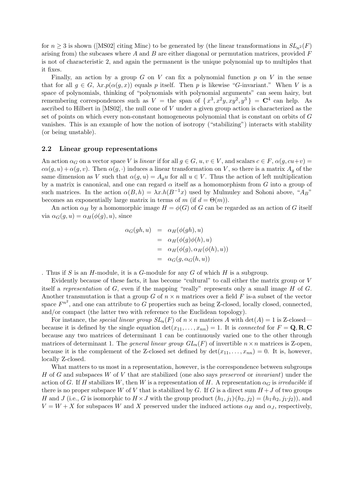for  $n \geq 3$  is shown ([MS02] citing Minc) to be generated by (the linear transformations in  $SL_{n^2}(F)$ arising from) the subcases where  $A$  and  $B$  are either diagonal or permutation matrices, provided  $F$ is not of characteristic 2, and again the permanent is the unique polynomial up to multiples that it fixes.

Finally, an action by a group G on V can fix a polynomial function  $p$  on V in the sense that for all  $g \in G$ ,  $\lambda x. p(\alpha(g, x))$  equals p itself. Then p is likewise "G-invariant." When V is a space of polynomials, thinking of "polynomials with polynomial arguments" can seem hairy, but remembering correspondences such as  $V =$  the span of  $\{x^3, x^2y, xy^2, y^3\} = \mathbb{C}^4$  can help. As ascribed to Hilbert in [MS02], the null cone of V under a given group action is characterized as the set of points on which every non-constant homogeneous polynomial that is constant on orbits of G vanishes. This is an example of how the notion of isotropy ("stabilizing") interacts with stability (or being unstable).

### 2.2 Linear group representations

An action  $\alpha_G$  on a vector space V is linear if for all  $g \in G$ ,  $u, v \in V$ , and scalars  $c \in F$ ,  $\alpha(g, cu+v)$  $c\alpha(g, u) + \alpha(g, v)$ . Then  $\alpha(g, \cdot)$  induces a linear transformation on V, so there is a matrix  $A_q$  of the same dimension as V such that  $\alpha(g, u) = A_g u$  for all  $u \in V$ . Thus the action of left multiplication by a matrix is canonical, and one can regard  $\alpha$  itself as a homomorphism from G into a group of such matrices. In the action  $\alpha(B, h) = \lambda x.h(B^{-1}x)$  used by Mulmuley and Sohoni above, " $A_B$ " becomes an exponentially large matrix in terms of m (if  $d = \Theta(m)$ ).

An action  $\alpha_H$  by a homomorphic image  $H = \phi(G)$  of G can be regarded as an action of G itself via  $\alpha_G(g, u) = \alpha_H(\phi(g), u)$ , since

$$
\alpha_G(gh, u) = \alpha_H(\phi(gh), u)
$$
  
= 
$$
\alpha_H(\phi(g)\phi(h), u)
$$
  
= 
$$
\alpha_H(\phi(g), \alpha_H(\phi(h), u))
$$
  
= 
$$
\alpha_G(g, \alpha_G(h, u))
$$

. Thus if S is an H-module, it is a G-module for any G of which  $H$  is a subgroup.

Evidently because of these facts, it has become "cultural" to call either the matrix group or V itself a representation of  $G$ , even if the mapping "really" represents only a small image  $H$  of  $G$ . Another transmutation is that a group G of  $n \times n$  matrices over a field F is-a subset of the vector space  $F^{n^2}$ , and one can attribute to G properties such as being Z-closed, locally closed, connected, and/or compact (the latter two with reference to the Euclidean topology).

For instance, the special linear group  $SL_n(F)$  of  $n \times n$  matrices A with  $\det(A) = 1$  is Z-closed because it is defined by the single equation  $\det(x_{11},...,x_{nn}) = 1$ . It is *connected* for  $F = \mathbf{Q}, \mathbf{R}, \mathbf{C}$ because any two matrices of determinant 1 can be continuously varied one to the other through matrices of determinant 1. The *general linear group*  $GL_n(F)$  of invertible  $n \times n$  matrices is Z-open, because it is the complement of the Z-closed set defined by  $\det(x_{11}, \ldots, x_{nn}) = 0$ . It is, however, locally Z-closed.

What matters to us most in a representation, however, is the correspondence between subgroups H of G and subspaces W of V that are stabilized (one also says preserved or invariant) under the action of G. If H stabilizes W, then W is a representation of H. A representation  $\alpha_G$  is irreducible if there is no proper subspace W of V that is stabilized by G. If G is a direct sum  $H+J$  of two groups H and J (i.e., G is isomorphic to  $H \times J$  with the group product  $(h_1, j_1)(h_2, j_2) = (h_1 \cdot h_2, j_1 \cdot j_2)$ ), and  $V = W + X$  for subspaces W and X preserved under the induced actions  $\alpha_H$  and  $\alpha_J$ , respectively,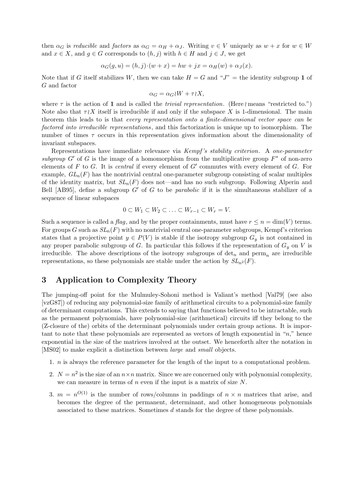then  $\alpha_G$  is reducible and factors as  $\alpha_G = \alpha_H + \alpha_J$ . Writing  $v \in V$  uniquely as  $w + x$  for  $w \in W$ and  $x \in X$ , and  $g \in G$  corresponds to  $(h, j)$  with  $h \in H$  and  $j \in J$ , we get

$$
\alpha_G(g, u) = (h, j) \cdot (w + x) = hw + jx = \alpha_H(w) + \alpha_J(x).
$$

Note that if G itself stabilizes W, then we can take  $H = G$  and " $J$ " = the identity subgroup 1 of G and factor

$$
\alpha_G = \alpha_G \wr W + \tau \wr X,
$$

where  $\tau$  is the action of 1 and is called the *trivial representation*. (Here means "restricted to.") Note also that  $\tau \chi X$  itself is irreducible if and only if the subspace X is 1-dimensional. The main theorem this leads to is that every representation onto a finite-dimensional vector space can be factored into irreducible representations, and this factorization is unique up to isomorphism. The number of times  $\tau$  occurs in this representation gives information about the dimensionality of invariant subspaces.

Representations have immediate relevance via Kempf 's stability criterion. A one-parameter subgroup G' of G is the image of a homomorphism from the multiplicative group  $F^*$  of non-zero elements of  $F$  to  $G$ . It is *central* if every element of  $G'$  commutes with every element of  $G$ . For example,  $GL_n(F)$  has the nontrivial central one-parameter subgroup consisting of scalar multiples of the identity matrix, but  $SL_n(F)$  does not—and has no such subgroup. Following Alperin and Bell [AB95], define a subgroup  $G'$  of G to be *parabolic* if it is the simultaneous stabilizer of a sequence of linear subspaces

$$
0 \subset W_1 \subset W_2 \subset \ldots \subset W_{r-1} \subset W_r = V.
$$

Such a sequence is called a flag, and by the proper containments, must have  $r \leq n = \dim(V)$  terms. For groups G such as  $SL_n(F)$  with no nontrivial central one-parameter subgroups, Kempf's criterion states that a projective point  $y \in P(V)$  is stable if the isotropy subgroup  $G_y$  is not contained in any proper parabolic subgroup of G. In particular this follows if the representation of  $G_y$  on V is irreducible. The above descriptions of the isotropy subgroups of  $\det_n$  and perm<sub>n</sub> are irreducible representations, so these polynomials are stable under the action by  $SL_{n^2}(F)$ .

# 3 Application to Complexity Theory

The jumping-off point for the Mulmuley-Sohoni method is Valiant's method [Val79] (see also [vzG87]) of reducing any polynomial-size family of arithmetical circuits to a polynomial-size family of determinant computations. This extends to saying that functions believed to be intractable, such as the permanent polynomials, have polynomial-size (arithmetical) circuits iff they belong to the (Z-closure of the) orbits of the determinant polynomials under certain group actions. It is important to note that these polynomials are represented as vectors of length exponential in "n," hence exponential in the size of the matrices involved at the outset. We henceforth alter the notation in [MS02] to make explicit a distinction between large and small objects.

- 1. n is always the reference parameter for the length of the input to a computational problem.
- 2.  $N = n^2$  is the size of an  $n \times n$  matrix. Since we are concerned only with polynomial complexity, we can measure in terms of  $n$  even if the input is a matrix of size  $N$ .
- 3.  $m = n^{O(1)}$  is the number of rows/columns in paddings of  $n \times n$  matrices that arise, and becomes the degree of the permanent, determinant, and other homogeneous polynomials associated to these matrices. Sometimes d stands for the degree of these polynomials.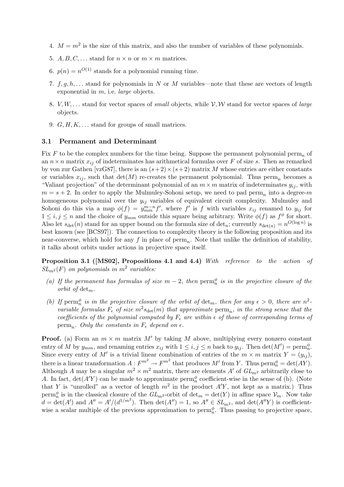- 4.  $M = m^2$  is the size of this matrix, and also the number of variables of these polynomials.
- 5.  $A, B, C, \ldots$  stand for  $n \times n$  or  $m \times m$  matrices.
- 6.  $p(n) = n^{O(1)}$  stands for a polynomial running time.
- 7.  $f, g, h, \ldots$  stand for polynomials in N or M variables—note that these are vectors of length exponential in  $m$ , i.e. *large* objects.
- 8. V, W, ... stand for vector spaces of small objects, while  $V, W$  stand for vector spaces of large objects.
- 9.  $G, H, K, \ldots$  stand for groups of small matrices.

#### 3.1 Permanent and Determinant

Fix F to be the complex numbers for the time being. Suppose the permanent polynomial perm<sub>n</sub> of an  $n \times n$  matrix  $x_{ij}$  of indeterminates has arithmetical formulas over F of size s. Then as remarked by von zur Gathen [vzG87], there is an  $(s+2) \times (s+2)$  matrix M whose entries are either constants or variables  $x_{ij}$ , such that  $\det(M)$  re-creates the permanent polynomial. Thus perm<sub>n</sub> becomes a "Valiant projection" of the determinant polynomial of an  $m \times m$  matrix of indeterminates  $y_{ij}$ , with  $m = s + 2$ . In order to apply the Mulmuley-Sohoni setup, we need to pad perm<sub>n</sub> into a degree-m homogeneous polynomial over the  $y_{ij}$  variables of equivalent circuit complexity. Mulmuley and Sohoni do this via a map  $\phi(f) = y_{mm}^{m-n} f'$ , where f' is f with variables  $x_{ij}$  renamed to  $y_{ij}$  for  $1 \leq i, j \leq n$  and the choice of  $y_{mm}$  outside this square being arbitrary. Write  $\phi(f)$  as  $f^{\phi}$  for short. Also let  $s_{\det}(n)$  stand for an upper bound on the formula size of  $\det_n$ ; currently  $s_{\det(n)} = n^{O(\log n)}$  is best known (see [BCS97]). The connection to complexity theory is the following proposition and its near-converse, which hold for any  $f$  in place of  $\text{perm}_n$ . Note that unlike the definition of stability, it talks about orbits under actions in projective space itself.

Proposition 3.1 ([MS02], Propositions 4.1 and 4.4) With reference to the action of  $SL_{m^2}(F)$  on polynomials in  $m^2$  variables:

- (a) If the permanent has formulas of size  $m-2$ , then  $\text{perm}_n^{\phi}$  is in the projective closure of the orbit of  $det_m$ .
- (b) If perm<sup> $\phi$ </sup> is in the projective closure of the orbit of det<sub>m</sub>, then for any  $\epsilon > 0$ , there are n<sup>2</sup>variable formulas  $F_{\epsilon}$  of size  $m^2s_{\det}(m)$  that approximate  $\text{perm}_n$ , in the strong sense that the coefficients of the polynomial computed by  $F_{\epsilon}$  are within  $\epsilon$  of those of corresponding terms of perm<sub>n</sub>. Only the constants in  $F_{\epsilon}$  depend on  $\epsilon$ .

**Proof.** (a) Form an  $m \times m$  matrix M' by taking M above, multiplying every nonzero constant entry of M by  $y_{mm}$ , and renaming entries  $x_{ij}$  with  $1 \leq i, j \leq n$  back to  $y_{ij}$ . Then  $\det(M') = \text{perm}_n^{\phi}$ . Since every entry of M' is a trivial linear combination of entries of the  $m \times m$  matrix  $Y = (y_{ij})$ , there is a linear transformation  $A: F^{m^2} \to F^{m^2}$  that produces  $M'$  from Y. Thus  $\text{perm}_n^{\phi} = \det(AY)$ . Although A may be a singular  $m^2 \times m^2$  matrix, there are elements A' of  $GL_{m^2}$  arbitrarily close to A. In fact,  $\det(A'Y)$  can be made to approximate perm<sub>n</sub><sup> $\phi$ </sup> coefficient-wise in the sense of (b). (Note that Y is "unrolled" as a vector of length  $m^2$  in the product  $A'Y$ , not kept as a matrix.) Thus perm<sup> $\phi$ </sup> is in the classical closure of the  $GL_{m^2}$ -orbit of  $\det_m = \det(Y)$  in affine space  $\mathcal{V}_m$ . Now take  $d = \det(A')$  and  $A'' = A'/(d^{1/m^2})$ . Then  $\det(A'') = 1$ , so  $A'' \in SL_{m^2}$ , and  $\det(A''Y)$  is coefficientwise a scalar multiple of the previous approximation to perm $_n^{\phi}$ . Thus passing to projective space,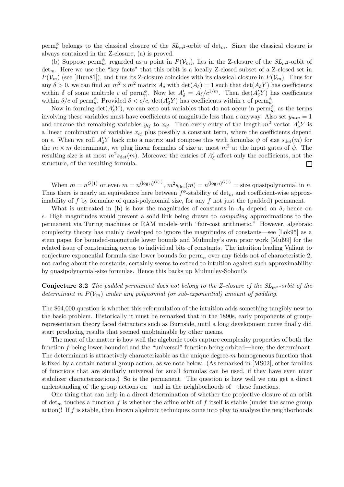perm<sub>n</sub> belongs to the classical closure of the  $SL_{m^2}$ -orbit of det<sub>m</sub>. Since the classical closure is always contained in the Z-closure, (a) is proved.

(b) Suppose perm<sup> $\phi$ </sup>, regarded as a point in  $P(\mathcal{V}_m)$ , lies in the Z-closure of the  $SL_{m^2}$ -orbit of  $det_m$ . Here we use the "key facts" that this orbit is a locally Z-closed subset of a Z-closed set in  $P(\mathcal{V}_m)$  (see [Hum81]), and thus its Z-closure coincides with its classical closure in  $P(\mathcal{V}_m)$ . Thus for any  $\delta > 0$ , we can find an  $m^2 \times m^2$  matrix  $A_{\delta}$  with  $\det(A_{\delta}) = 1$  such that  $\det(A_{\delta}Y)$  has coefficients within  $\delta$  of some multiple c of perm<sub>p</sub><sup>6</sup>. Now let  $A'_\delta = A_\delta/c^{1/m}$ . Then  $\det(A'_\delta Y)$  has coefficients within  $\delta/c$  of perm<sub>n</sub><sup>b</sup>. Provided  $\delta < \epsilon/c$ , det $(A'_\delta Y)$  has coefficients within  $\epsilon$  of perm<sub>n</sub><sup>b</sup></sup>.

Now in forming  $\det(A_{\delta}^{\prime} Y)$ , we can zero out variables that do not occur in perm<sub>n</sub><sup> $\phi$ </sup>, as the terms involving these variables must have coefficients of magnitude less than  $\epsilon$  anyway. Also set  $y_{mm} = 1$ and rename the remaining variables  $y_{ij}$  to  $x_{ij}$ . Then every entry of the length- $m^2$  vector  $A'_\delta Y$  is a linear combination of variables  $x_{ij}$  plus possibly a constant term, where the coefficients depend on  $\epsilon$ . When we roll  $A'_\delta Y$  back into a matrix and compose this with formulas  $\psi$  of size  $s_{\det}(m)$  for the  $m \times m$  determinant, we plug linear formulas of size at most  $m^2$  at the input gates of  $\psi$ . The resulting size is at most  $m^2s_{\det}(m)$ . Moreover the entries of  $A'_\delta$  affect only the coefficients, not the structure, of the resulting formula.  $\Box$ 

When  $m = n^{O(1)}$  or even  $m = n^{(\log n)^{O(1)}}, m^2 s_{\det}(m) = n^{(\log n)^{O(1)}} = \text{size quasipolynomial in } n$ . Thus there is nearly an equivalence here between  $f^{\phi}$ -stability of det<sub>m</sub> and coefficient-wise approximability of  $f$  by formulae of quasi-polynomial size, for any  $f$  not just the (padded) permanent.

What is untreated in (b) is how the magnitudes of constants in  $A_{\delta}$  depend on  $\delta$ , hence on  $\epsilon$ . High magnitudes would prevent a solid link being drawn to *computing* approximations to the permanent via Turing machines or RAM models with "fair-cost arithmetic." However, algebraic complexity theory has mainly developed to ignore the magnitudes of constants—see [Lok95] as a stem paper for bounded-magnitude lower bounds and Mulmuley's own prior work [Mul99] for the related issue of constraining access to individual bits of constants. The intuition leading Valiant to conjecture exponential formula size lower bounds for  $\text{perm}_n$  over any fields not of characteristic 2, not caring about the constants, certainly seems to extend to intuition against such approximability by quasipolynomial-size formulas. Hence this backs up Mulmuley-Sohoni's

**Conjecture 3.2** The padded permanent does not belong to the Z-closure of the  $SL_{m^2}$ -orbit of the determinant in  $P(V_m)$  under any polynomial (or sub-exponential) amount of padding.

The \$64,000 question is whether this reformulation of the intuition adds something tangibly new to the basic problem. Historically it must be remarked that in the 1890s, early proponents of grouprepresentation theory faced detractors such as Burnside, until a long development curve finally did start producing results that seemed unobtainable by other means.

The meat of the matter is how well the algebraic tools capture complexity properties of both the function f being lower-bounded and the "universal" function being orbited—here, the determinant. The determinant is attractively characterizable as the unique degree-m homogeneous function that is fixed by a certain natural group action, as we note below. (As remarked in [MS02], other families of functions that are similarly universal for small formulas can be used, if they have even nicer stabilizer characterizations.) So is the permanent. The question is how well we can get a direct understanding of the group actions on—and in the neighborhoods of—these functions.

One thing that can help in a direct determination of whether the projective closure of an orbit of det<sub>m</sub> touches a function f is whether the affine orbit of f itself is stable (under the same group action)! If f is stable, then known algebraic techniques come into play to analyze the neighborhoods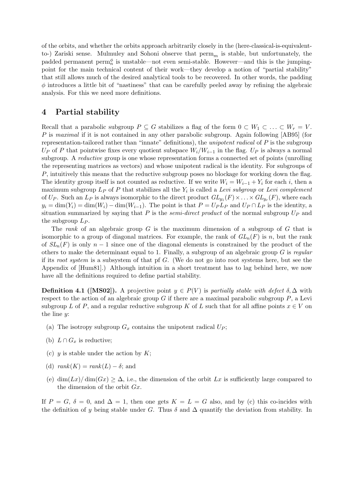of the orbits, and whether the orbits approach arbitrarily closely in the (here-classical-is-equivalentto-) Zariski sense. Mulmuley and Sohoni observe that  $\text{perm}_m$  is stable, but unfortunately, the padded permanent perm $_n^{\phi}$  is unstable—not even semi-stable. However—and this is the jumpingpoint for the main technical content of their work—they develop a notion of "partial stability" that still allows much of the desired analytical tools to be recovered. In other words, the padding  $\phi$  introduces a little bit of "nastiness" that can be carefully peeled away by refining the algebraic analysis. For this we need more definitions.

# 4 Partial stability

Recall that a parabolic subgroup  $P \subseteq G$  stabilizes a flag of the form  $0 \subset W_1 \subset \ldots \subset W_r = V$ . P is maximal if it is not contained in any other parabolic subgroup. Again following [AB95] (for representation-tailored rather than "innate" definitions), the unipotent radical of P is the subgroup  $U_P$  of P that pointwise fixes every quotient subspace  $W_i/W_{i-1}$  in the flag.  $U_P$  is always a normal subgroup. A reductive group is one whose representation forms a connected set of points (unrolling the representing matrices as vectors) and whose unipotent radical is the identity. For subgroups of P, intuitively this means that the reductive subgroup poses no blockage for working down the flag. The identity group itself is not counted as reductive. If we write  $W_i = W_{i-1} + Y_i$  for each i, then a maximum subgroup  $L_P$  of P that stabilizes all the  $Y_i$  is called a Levi subgroup or Levi complement of  $U_P$ . Such an  $L_P$  is always isomorphic to the direct product  $GL_{y_1}(F) \times \ldots \times GL_{y_r}(F)$ , where each  $y_i = \dim(Y_i) = \dim(W_i) - \dim(W_{i-1})$ . The point is that  $P = U_P L_P$  and  $U_P \cap L_P$  is the identity, a situation summarized by saying that P is the *semi-direct product* of the normal subgroup  $U_P$  and the subgroup  $L_P$ .

The rank of an algebraic group  $G$  is the maximum dimension of a subgroup of  $G$  that is isomorphic to a group of diagonal matrices. For example, the rank of  $GL_n(F)$  is n, but the rank of  $SL_n(F)$  is only  $n-1$  since one of the diagonal elements is constrained by the product of the others to make the determinant equal to 1. Finally, a subgroup of an algebraic group  $G$  is regular if its root system is a subsystem of that pf  $G$ . (We do not go into root systems here, but see the Appendix of [Hum81].) Although intuition in a short treatment has to lag behind here, we now have all the definitions required to define partial stability.

**Definition 4.1 ([MS02]).** A projective point  $y \in P(V)$  is partially stable with defect  $\delta, \Delta$  with respect to the action of an algebraic group  $G$  if there are a maximal parabolic subgroup  $P$ , a Levi subgroup L of P, and a regular reductive subgroup K of L such that for all affine points  $x \in V$  on the line y:

- (a) The isotropy subgroup  $G_x$  contains the unipotent radical  $U_P$ ;
- (b)  $L \cap G_x$  is reductive;
- (c)  $y$  is stable under the action by  $K$ ;
- (d)  $rank(K) = rank(L) \delta$ ; and
- (e)  $\dim(Lx)/\dim(Gx) \geq \Delta$ , i.e., the dimension of the orbit Lx is sufficiently large compared to the dimension of the orbit Gx.

If  $P = G$ ,  $\delta = 0$ , and  $\Delta = 1$ , then one gets  $K = L = G$  also, and by (c) this co-incides with the definition of y being stable under G. Thus  $\delta$  and  $\Delta$  quantify the deviation from stability. In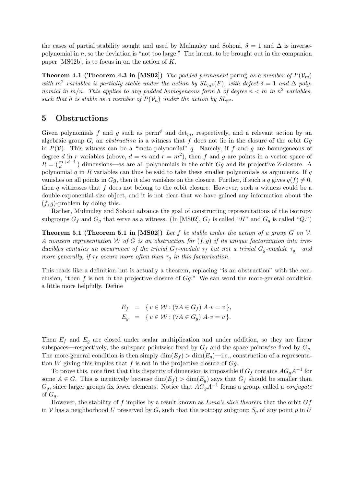the cases of partial stability sought and used by Mulmuley and Sohoni,  $\delta = 1$  and  $\Delta$  is inversepolynomial in  $n$ , so the deviation is "not too large." The intent, to be brought out in the companion paper [MS02b], is to focus in on the action of K.

**Theorem 4.1 (Theorem 4.3 in [MS02])** The padded permanent perm $_n^{\phi}$  as a member of  $P(\mathcal{V}_m)$ with  $m^2$  variables is partially stable under the action by  $SL_{m^2}(F)$ , with defect  $\delta = 1$  and  $\Delta$  polynomial in  $m/n$ . This applies to any padded homogeneous form h of degree  $n < m$  in  $n^2$  variables, such that h is stable as a member of  $P(\mathcal{V}_n)$  under the action by  $SL_{n^2}$ .

# 5 Obstructions

Given polynomials f and g such as perm<sup> $\phi$ </sup> and det<sub>m</sub>, respectively, and a relevant action by an algebraic group  $G$ , an *obstruction* is a witness that f does not lie in the closure of the orbit  $Gg$ in  $P(V)$ . This witness can be a "meta-polynomial" q. Namely, if f and g are homogeneous of degree d in r variables (above,  $d = m$  and  $r = m^2$ ), then f and g are points in a vector space of  $R = \begin{pmatrix} m+d-1 \\ d \end{pmatrix}$  dimensions—as are all polynomials in the orbit  $Gg$  and its projective Z-closure. A polynomial  $q$  in  $R$  variables can thus be said to take these smaller polynomials as arguments. If  $q$ vanishes on all points in Gg, then it also vanishes on the closure. Further, if such a q gives  $q(f) \neq 0$ , then  $q$  witnesses that  $f$  does not belong to the orbit closure. However, such a witness could be a double-exponential-size object, and it is not clear that we have gained any information about the  $(f, q)$ -problem by doing this.

Rather, Mulmuley and Sohoni advance the goal of constructing representations of the isotropy subgroups  $G_f$  and  $G_g$  that serve as a witness. (In [MS02],  $G_f$  is called "H" and  $G_g$  is called "Q.")

**Theorem 5.1 (Theorem 5.1 in [MS02])** Let f be stable under the action of a group G on  $\mathcal{V}$ . A nonzero representation W of G is an obstruction for  $(f, g)$  if its unique factorization into irreducibles contains an occurrence of the trivial  $G_f$ -module  $\tau_f$  but not a trivial  $G_g$ -module  $\tau_g$ -and more generally, if  $\tau_f$  occurs more often than  $\tau_q$  in this factorization.

This reads like a definition but is actually a theorem, replacing "is an obstruction" with the conclusion, "then  $f$  is not in the projective closure of  $Gg$ ." We can word the more-general condition a little more helpfully. Define

$$
E_f = \{ v \in \mathcal{W} : (\forall A \in G_f) \land v = v \},
$$
  
\n
$$
E_g = \{ v \in \mathcal{W} : (\forall A \in G_g) \land v = v \}.
$$

Then  $E_f$  and  $E_g$  are closed under scalar multiplication and under addition, so they are linear subspaces—respectively, the subspace pointwise fixed by  $G_f$  and the space pointwise fixed by  $G_g$ . The more-general condition is then simply  $\dim(E_f) > \dim(E_q)$ —i.e., construction of a representation W giving this implies that f is not in the projective closure of  $Gg$ .

To prove this, note first that this disparity of dimension is impossible if  $G_f$  contains  $AG_gA^{-1}$  for some  $A \in G$ . This is intuitively because  $\dim(E_f) > \dim(E_g)$  says that  $G_f$  should be smaller than  $G_g$ , since larger groups fix fewer elements. Notice that  $AG_gA^{-1}$  forms a group, called a *conjugate* of  $G_q$ .

However, the stability of f implies by a result known as Luna's slice theorem that the orbit  $Gf$ in V has a neighborhood U preserved by G, such that the isotropy subgroup  $S_p$  of any point p in U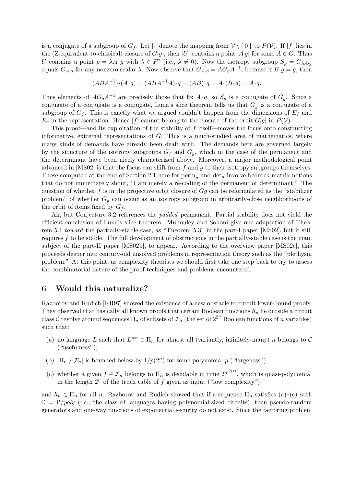is a conjugate of a subgroup of  $G_f$ . Let  $[\cdot]$  denote the mapping from  $V \setminus \{0\}$  to  $P(V)$ . If  $[f]$  lies in the (Z-equivalent-to-classical) closure of G[g], then [U] contains a point [A·g] for some  $A \in G$ . Thus U contains a point  $p = \lambda A \cdot g$  with  $\lambda \in F^*$  (i.e.,  $\lambda \neq 0$ ). Now the isotropy subgroup  $S_p = G_{\lambda A \cdot g}$ equals  $G_{A,g}$  for any nonzero scalar  $\lambda$ . Now observe that  $G_{A,g} = AG_gA^{-1}$ , because if  $B \cdot g = g$ , then

$$
(ABA^{-1})\cdot (A\cdot g) = (ABA^{-1}A)\cdot g = (AB)\cdot g = A\cdot (B\cdot g) = A\cdot g.
$$

Thus elements of  $AG_gA^{-1}$  are precisely those that fix  $A \cdot g$ , so  $S_p$  is a conjugate of  $G_g$ . Since a conjugate of a conjugate is a conjugate, Luna's slice theorem tells us that  $G<sub>q</sub>$  is a conjugate of a subgroup of  $G_f$ . This is exactly what we argued couldn't happen from the dimensions of  $E_f$  and  $E_q$  in the representation. Hence [f] cannot belong to the closure of the orbit  $G[g]$  in  $P(V)$ .

This proof—and its exploitation of the stability of  $f$  itself—moves the focus onto constructing informative, extremal representations of  $G$ . This is a much-studied area of mathematics, where many kinds of demands have already been dealt with. The demands here are governed largely by the structure of the isotropy subgroups  $G_f$  and  $G_g$ , which in the case of the permanent and the determinant have been nicely characterized above. Moreover, a major methodological point advanced in  $[MSO2]$  is that the focus can shift from f and q to their isotropy subgroups themselves. Those computed at the end of Section 2.1 here for  $\text{perm}_n$  and  $\det_n$  involve bedrock matrix notions that do not immediately shout, "I am merely a re-coding of the permanent or determinant!" The question of whether f is in the projective orbit closure of  $Gg$  can be reformulated as the "stabilizer problem" of whether  $G_q$  can occur as an isotropy subgroup in arbitrarily-close neighborhoods of the orbit of items fixed by  $G_f$ .

Ah, but Conjecture 3.2 references the *padded* permanent. Partial stability does not yield the efficient conclusion of Luna's slice theorem. Mulmuley and Sohoni give one adaptation of Theorem 5.1 toward the partially-stable case, as "Theorem 5.3" in the part-I paper [MS02], but it still requires f to be stable. The full development of obstructions in the partially-stable case is the main subject of the part-II paper [MS02b], to appear. According to the overview paper [MS02c], this proceeds deeper into century-old unsolved problems in representation theory such as the "plethysm problem." At this point, as complexity theorists we should first take one step back to try to assess the combinatorial nature of the proof techniques and problems encountered.

### 6 Would this naturalize?

Razborov and Rudich [RR97] showed the existence of a new obstacle to circuit lower-bound proofs. They observed that basically all known proofs that certain Boolean functions  $h_n$  lie outside a circuit class C revolve around sequences  $\Pi_n$  of subsets of  $\mathcal{F}_n$  (the set of  $2^{2^n}$  Boolean functions of n variables) such that:

- (a) no language L such that  $L^{-n} \in \Pi_n$  for almost all (variantly, infinitely-many) n belongs to C ("usefulness");
- (b)  $|\Pi_n|/|\mathcal{F}_n|$  is bounded below by  $1/p(2^n)$  for some polynomial p ("largeness");
- (c) whether a given  $f \in \mathcal{F}_n$  belongs to  $\Pi_n$  is decidable in time  $2^{n^{O(1)}}$ , which is quasi-polynomial in the length  $2^n$  of the truth table of f given as input ("low complexity");

and  $h_n \in \Pi_n$  for all n. Razborov and Rudich showed that if a sequence  $\Pi_n$  satisfies (a)–(c) with  $C = P/poly$  (i.e., the class of languages having polynomial-sized circuits), then pseudo-random generators and one-way functions of exponential security do not exist. Since the factoring problem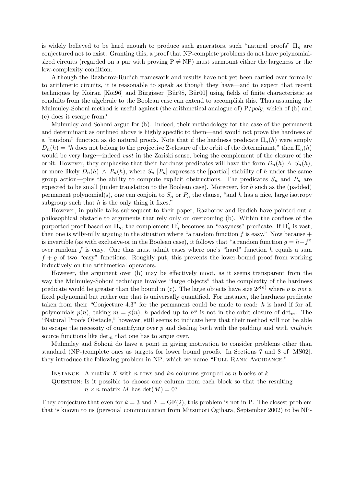is widely believed to be hard enough to produce such generators, such "natural proofs"  $\Pi_n$  are conjectured not to exist. Granting this, a proof that NP-complete problems do not have polynomialsized circuits (regarded on a par with proving  $P \neq NP$ ) must surmount either the largeness or the low-complexity condition.

Although the Razborov-Rudich framework and results have not yet been carried over formally to arithmetic circuits, it is reasonable to speak as though they have—and to expect that recent techniques by Koiran [Koi96] and Bürgisser [Bür98, Bür00] using fields of finite characteristic as conduits from the algebraic to the Boolean case can extend to accomplish this. Thus assuming the Mulmuley-Sohoni method is useful against (the arithmetical analogue of)  $P/poly$ , which of (b) and (c) does it escape from?

Mulmuley and Sohoni argue for (b). Indeed, their methodology for the case of the permanent and determinant as outlined above is highly specific to them—and would not prove the hardness of a "random" function as do natural proofs. Note that if the hardness predicate  $\Pi_n(h)$  were simply  $D_n(h) = "h$  does not belong to the projective Z-closure of the orbit of the determinant," then  $\Pi_n(h)$ would be very large—indeed *vast* in the Zariski sense, being the complement of the closure of the orbit. However, they emphasize that their hardness predicates will have the form  $D_n(h) \wedge S_n(h)$ , or more likely  $D_n(h) \wedge P_n(h)$ , where  $S_n$  [ $P_n$ ] expresses the [partial] stability of h under the same group action—plus the ability to compute explicit obstructions. The predicates  $S_n$  and  $P_n$  are expected to be small (under translation to the Boolean case). Moreover, for h such as the (padded) permanent polynomial(s), one can conjoin to  $S_n$  or  $P_n$  the clause, "and h has a nice, large isotropy subgroup such that  $h$  is the only thing it fixes."

However, in public talks subsequent to their paper, Razborov and Rudich have pointed out a philosophical obstacle to arguments that rely only on overcoming (b). Within the confines of the purported proof based on  $\overline{\Pi}_n$ , the complement  $\Pi'_n$  becomes an "easyness" predicate. If  $\Pi'_n$  is vast, then one is willy-nilly arguing in the situation where "a random function  $f$  is easy." Now because + is invertible (as with exclusive-or in the Boolean case), it follows that "a random function  $q = h - f$ " over random f is easy. One thus must admit cases where one's "hard" function  $h$  equals a sum  $f + g$  of two "easy" functions. Roughly put, this prevents the lower-bound proof from working inductively on the arithmetical operators.

However, the argument over (b) may be effectively moot, as it seems transparent from the way the Mulmuley-Sohoni technique involves "large objects" that the complexity of the hardness predicate would be greater than the bound in (c). The large objects have size  $2^{p(n)}$  where p is not a fixed polynomial but rather one that is universally quantified. For instance, the hardness predicate taken from their "Conjecture 4.3" for the permanent could be made to read: h is hard if for all polynomials  $p(n)$ , taking  $m = p(n)$ , h padded up to  $h^{\phi}$  is not in the orbit closure of det<sub>m</sub>. The "Natural Proofs Obstacle," however, still seems to indicate here that their method will not be able to escape the necessity of quantifying over  $p$  and dealing both with the padding and with *multiple* source functions like  $\det_m$  that one has to argue over.

Mulmuley and Sohoni do have a point in giving motivation to consider problems other than standard (NP-)complete ones as targets for lower bound proofs. In Sections 7 and 8 of [MS02], they introduce the following problem in NP, which we name "FULL RANK AVOIDANCE."

INSTANCE: A matrix X with n rows and kn columns grouped as n blocks of k. Question: Is it possible to choose one column from each block so that the resulting  $n \times n$  matrix M has  $\det(M) = 0$ ?

They conjecture that even for  $k = 3$  and  $F = GF(2)$ , this problem is not in P. The closest problem that is known to us (personal communication from Mitsunori Ogihara, September 2002) to be NP-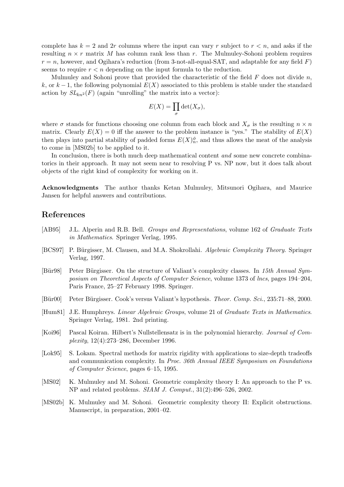complete has  $k = 2$  and 2r columns where the input can vary r subject to  $r < n$ , and asks if the resulting  $n \times r$  matrix M has column rank less than r. The Mulmuley-Sohoni problem requires  $r = n$ , however, and Ogihara's reduction (from 3-not-all-equal-SAT, and adaptable for any field F) seems to require  $r < n$  depending on the input formula to the reduction.

Mulmuley and Sohoni prove that provided the characteristic of the field  $F$  does not divide  $n$ , k, or  $k-1$ , the following polynomial  $E(X)$  associated to this problem is stable under the standard action by  $SL_{kn^2}(F)$  (again "unrolling" the matrix into a vector):

$$
E(X) = \prod_{\sigma} \det(X_{\sigma}),
$$

where  $\sigma$  stands for functions choosing one column from each block and  $X_{\sigma}$  is the resulting  $n \times n$ matrix. Clearly  $E(X) = 0$  iff the answer to the problem instance is "yes." The stability of  $E(X)$ then plays into partial stability of padded forms  $E(X)^{\phi}_n$ , and thus allows the meat of the analysis to come in [MS02b] to be applied to it.

In conclusion, there is both much deep mathematical content *and* some new concrete combinatorics in their approach. It may not seem near to resolving P vs. NP now, but it does talk about objects of the right kind of complexity for working on it.

Acknowledgments The author thanks Ketan Mulmuley, Mitsunori Ogihara, and Maurice Jansen for helpful answers and contributions.

# References

- [AB95] J.L. Alperin and R.B. Bell. Groups and Representations, volume 162 of Graduate Texts in Mathematics. Springer Verlag, 1995.
- [BCS97] P. Bürgisser, M. Clausen, and M.A. Shokrollahi. Algebraic Complexity Theory. Springer Verlag, 1997.
- [Bür98] Peter Bürgisser. On the structure of Valiant's complexity classes. In 15th Annual Symposium on Theoretical Aspects of Computer Science, volume 1373 of lncs, pages 194–204, Paris France, 25–27 February 1998. Springer.
- [Bür00] Peter Bürgisser. Cook's versus Valiant's hypothesis. Theor. Comp. Sci., 235:71–88, 2000.
- [Hum81] J.E. Humphreys. Linear Algebraic Groups, volume 21 of Graduate Texts in Mathematics. Springer Verlag, 1981. 2nd printing.
- [Koi96] Pascal Koiran. Hilbert's Nullstellensatz is in the polynomial hierarchy. Journal of Complexity, 12(4):273–286, December 1996.
- [Lok95] S. Lokam. Spectral methods for matrix rigidity with applications to size-depth tradeoffs and communication complexity. In Proc. 36th Annual IEEE Symposium on Foundations of Computer Science, pages 6–15, 1995.
- [MS02] K. Mulmuley and M. Sohoni. Geometric complexity theory I: An approach to the P vs. NP and related problems. SIAM J. Comput., 31(2):496–526, 2002.
- [MS02b] K. Mulmuley and M. Sohoni. Geometric complexity theory II: Explicit obstructions. Manuscript, in preparation, 2001–02.